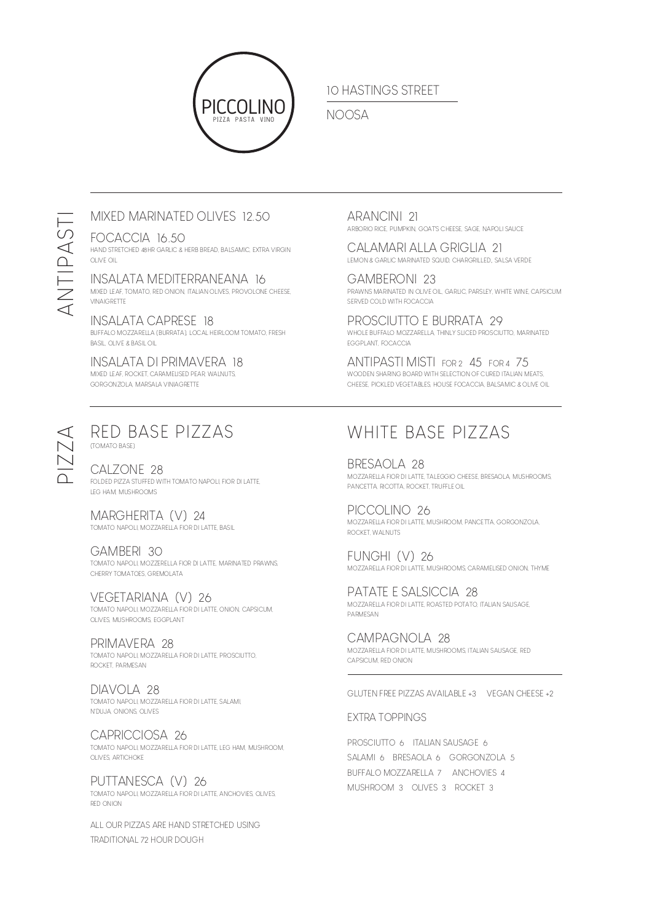

## 10 HASTINGS STREET

## NOOSA

## MIXED MARINATED OLIVES 12.50

## FOCACCIA 16.50

HAND STRETCHED 48HR GARLIC & HERB BREAD, BALSAMIC, EXTRA VIRGIN OLIVE OIL

## INSALATA MEDITERRANEANA 16

MIXED LEAF, TOMATO, RED ONION, ITALIAN OLIVES, PROVOLONE CHEESE, VINAIGRETTE

## INSALATA CAPRESE 18

BUFFALO MOZZARELLA (BURRATA), LOCAL HEIRLOOM TOMATO, FRESH BASIL, OLIVE & BASIL OIL

## INSALATA DI PRIMAVERA 18

MIXED LEAF, ROCKET, CARAMELISED PEAR, WALNUTS, GORGONZOLA, MARSALA VINIAGRETTE

## ARANCINI 21 ARBORIO RICE, PUMPKIN, GOAT'S CHEESE, SAGE, NAPOLI SAUCE

CALAMARI ALLA GRIGLIA 21 LEMON & GARLIC MARINATED SQUID, CHARGRILLED,, SALSA VERDE

GAMBERONI 23 PRAWNS MARINATED IN OLIVE OIL, GARLIC, PARSLEY, WHITE WINE, CAPSICUM SERVED COLD WITH FOCACCIA

PROSCIUTTO E BURRATA 29 WHOLE BUFFALO MOZZARELLA, THINLY SLICED PROSCIUTTO, MARINATED EGGPLANT, FOCACCIA

ANTIPASTI MISTI FOR 2 45 FOR 4 75 WOODEN SHARING BOARD WITH SELECTION OF CURED ITALIAN MEATS, CHEESE, PICKLED VEGETABLES, HOUSE FOCACCIA, BALSAMIC & OLIVE OIL

# PIZZA

ANTIPASTI

ANTIPASTI

## RED BASE PIZZAS (TOMATO BASE)

CALZONE 28 FOLDED PIZZA STUFFED WITH TOMATO NAPOLI, FIOR DI LATTE, LEG HAM, MUSHROOMS

## MARGHERITA (V) 24 TOMATO NAPOLI, MOZZARELLA FIOR DI LATTE, BASIL

GAMBERI 30 TOMATO NAPOLI, MOZZERELLA FIOR DI LATTE, MARINATED PRAWNS, CHERRY TOMATOES, GREMOLATA

VEGETARIANA (V) 26 TOMATO NAPOLI, MOZZARELLA FIOR DI LATTE, ONION, CAPSICUM, OLIVES, MUSHROOMS, EGGPLANT

#### PRIMAVERA 28 TOMATO NAPOLI, MOZZARELLA FIOR DI LATTE, PROSCIUTTO, ROCKET, PARMESAN

#### DIAVOLA 28 TOMATO NAPOLI, MOZZARELLA FIOR DI LATTE, SALAMI, N'DUJA, ONIONS, OLIVES

CAPRICCIOSA 26 TOMATO NAPOLI, MOZZARELLA FIOR DI LATTE, LEG HAM, MUSHROOM, OLIVES, ARTICHOKE

## PUTTANESCA (V) 26

TOMATO NAPOLI, MOZZARELLA FIOR DI LATTE, ANCHOVIES, OLIVES, RED ONION

ALL OUR PIZZAS ARE HAND STRETCHED USING TRADITIONAL 72 HOUR DOUGH

## WHITE BASE PIZZAS

BRESAOLA 28 MOZZARELLA FIOR DI LATTE, TALEGGIO CHEESE, BRESAOLA, MUSHROOMS, PANCETTA, RICOTTA, ROCKET, TRUFFLE OIL

PICCOLINO 26 MOZZARELLA FIOR DI LATTE, MUSHROOM, PANCETTA, GORGONZOLA, ROCKET, WALNUTS

FUNGHI (V) 26 MOZZARELLA FIOR DI LATTE, MUSHROOMS, CARAMELISED ONION, THYME

PATATE E SALSICCIA 28 MOZZARELLA FIOR DI LATTE, ROASTED POTATO, ITALIAN SAUSAGE, PARMESAN

CAMPAGNOLA 28 MOZZARELLA FIOR DI LATTE, MUSHROOMS, ITALIAN SAUSAGE, RED CAPSICUM, RED ONION

GLUTEN FREE PIZZAS AVAILABLE +3 VEGAN CHEESE +2

## EXTRA TOPPINGS

PROSCIUTTO 6 ITALIAN SAUSAGE 6 SALAMI 6 BRESAOLA 6 GORGONZOLA 5 BUFFALO MOZZARELLA 7 ANCHOVIES 4 MUSHROOM 3 OLIVES 3 ROCKET 3